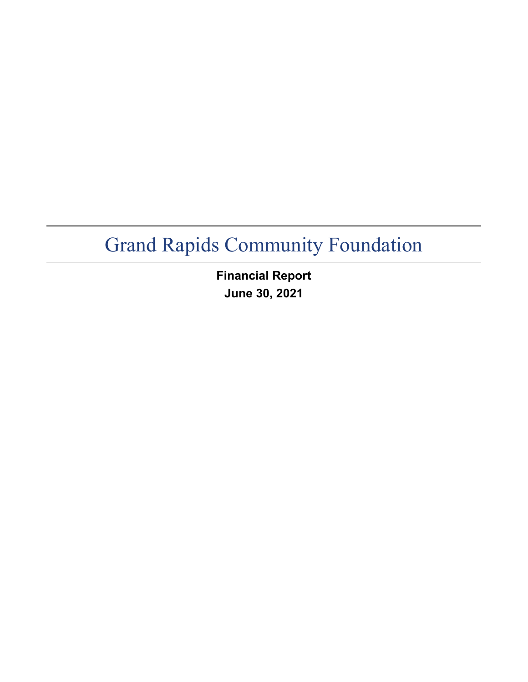**Financial Report June 30, 2021**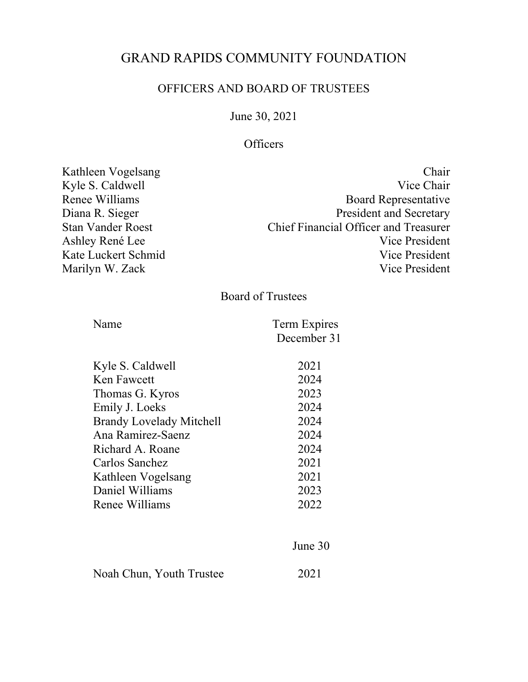## GRAND RAPIDS COMMUNITY FOUNDATION

### OFFICERS AND BOARD OF TRUSTEES

June 30, 2021

## **Officers**

| Kathleen Vogelsang       | Chair                                        |
|--------------------------|----------------------------------------------|
| Kyle S. Caldwell         | Vice Chair                                   |
| Renee Williams           | <b>Board Representative</b>                  |
| Diana R. Sieger          | <b>President and Secretary</b>               |
| <b>Stan Vander Roest</b> | <b>Chief Financial Officer and Treasurer</b> |
| Ashley René Lee          | Vice President                               |
| Kate Luckert Schmid      | Vice President                               |
| Marilyn W. Zack          | Vice President                               |
|                          |                                              |

Board of Trustees

| Name                            | Term Expires<br>December 31 |
|---------------------------------|-----------------------------|
| Kyle S. Caldwell                | 2021                        |
| Ken Fawcett                     | 2024                        |
| Thomas G. Kyros                 | 2023                        |
| Emily J. Loeks                  | 2024                        |
| <b>Brandy Lovelady Mitchell</b> | 2024                        |
| Ana Ramirez-Saenz               | 2024                        |
| Richard A. Roane                | 2024                        |
| Carlos Sanchez                  | 2021                        |
| Kathleen Vogelsang              | 2021                        |
| Daniel Williams                 | 2023                        |
| Renee Williams                  | 2022                        |
|                                 |                             |

|                          | June $30$ |
|--------------------------|-----------|
| Noah Chun, Youth Trustee | 2021      |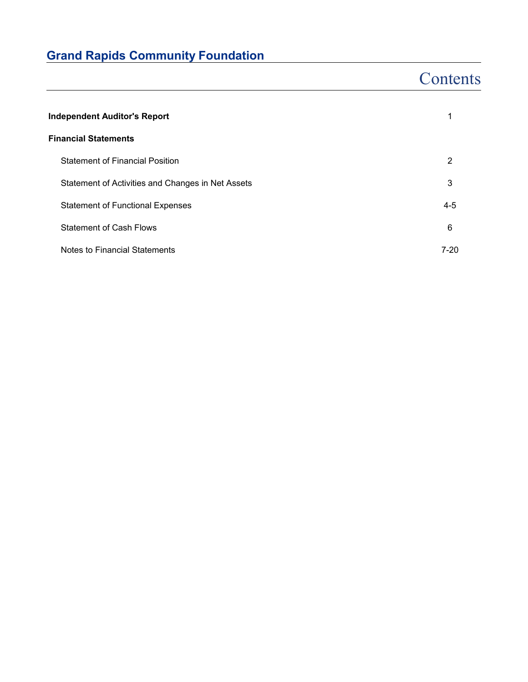## **Contents**

| <b>Independent Auditor's Report</b>               |         |  |
|---------------------------------------------------|---------|--|
| <b>Financial Statements</b>                       |         |  |
| <b>Statement of Financial Position</b>            | 2       |  |
| Statement of Activities and Changes in Net Assets | 3       |  |
| <b>Statement of Functional Expenses</b>           | $4 - 5$ |  |
| <b>Statement of Cash Flows</b>                    | 6       |  |
| Notes to Financial Statements                     | 7-20    |  |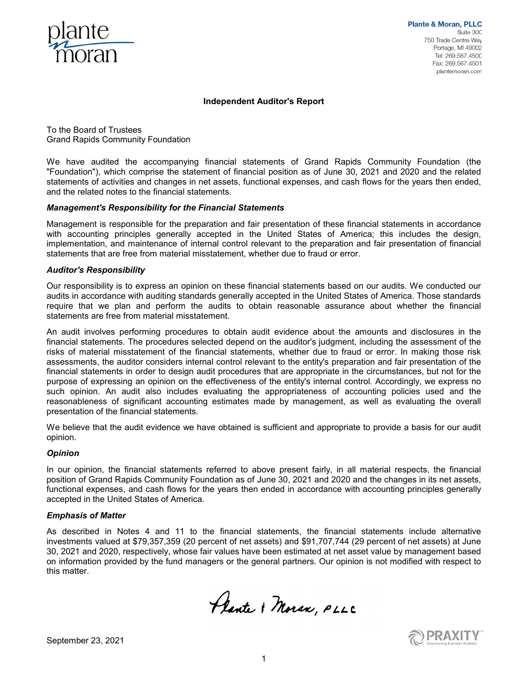

**Plante & Moran, PLLC** Suite 300 750 Trade Centre Way Portage, MI 49002 Tel: 269.567.4500 Fax: 269.567.4501 plantemoran.com

#### **Independent Auditor's Report**

To the Board of Trustees Grand Rapids Community Foundation

We have audited the accompanying financial statements of Grand Rapids Community Foundation (the "Foundation"), which comprise the statement of financial position as of June 30, 2021 and 2020 and the related statements of activities and changes in net assets, functional expenses, and cash flows for the years then ended, and the related notes to the financial statements.

#### *Management's Responsibility for the Financial Statements*

Management is responsible for the preparation and fair presentation of these financial statements in accordance with accounting principles generally accepted in the United States of America; this includes the design, implementation, and maintenance of internal control relevant to the preparation and fair presentation of financial statements that are free from material misstatement, whether due to fraud or error.

#### *Auditor's Responsibility*

Our responsibility is to express an opinion on these financial statements based on our audits. We conducted our audits in accordance with auditing standards generally accepted in the United States of America. Those standards require that we plan and perform the audits to obtain reasonable assurance about whether the financial statements are free from material misstatement.

An audit involves performing procedures to obtain audit evidence about the amounts and disclosures in the financial statements. The procedures selected depend on the auditor's judgment, including the assessment of the risks of material misstatement of the financial statements, whether due to fraud or error. In making those risk assessments, the auditor considers internal control relevant to the entity's preparation and fair presentation of the financial statements in order to design audit procedures that are appropriate in the circumstances, but not for the purpose of expressing an opinion on the effectiveness of the entity's internal control. Accordingly, we express no such opinion. An audit also includes evaluating the appropriateness of accounting policies used and the reasonableness of significant accounting estimates made by management, as well as evaluating the overall presentation of the financial statements.

We believe that the audit evidence we have obtained is sufficient and appropriate to provide a basis for our audit opinion.

#### *Opinion*

In our opinion, the financial statements referred to above present fairly, in all material respects, the financial position of Grand Rapids Community Foundation as of June 30, 2021 and 2020 and the changes in its net assets, functional expenses, and cash flows for the years then ended in accordance with accounting principles generally accepted in the United States of America.

#### *Emphasis of Matter*

As described in Notes 4 and 11 to the financial statements, the financial statements include alternative investments valued at \$79,357,359 (20 percent of net assets) and \$91,707,744 (29 percent of net assets) at June 30, 2021 and 2020, respectively, whose fair values have been estimated at net asset value by management based on information provided by the fund managers or the general partners. Our opinion is not modified with respect to this matter.

Plante & Moran, PLLC



September 23, 2021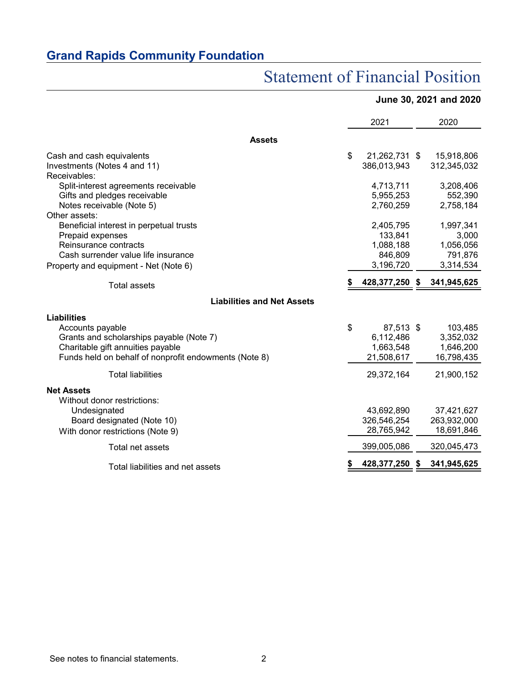## Statement of Financial Position

### **June 30, 2021 and 2020**

|                                                                                                                                                                                  | 2021                                                    |   | 2020                                            |
|----------------------------------------------------------------------------------------------------------------------------------------------------------------------------------|---------------------------------------------------------|---|-------------------------------------------------|
| <b>Assets</b>                                                                                                                                                                    |                                                         |   |                                                 |
| Cash and cash equivalents<br>Investments (Notes 4 and 11)                                                                                                                        | \$<br>21,262,731 \$<br>386,013,943                      |   | 15,918,806<br>312,345,032                       |
| Receivables:<br>Split-interest agreements receivable<br>Gifts and pledges receivable<br>Notes receivable (Note 5)<br>Other assets:                                               | 4,713,711<br>5,955,253<br>2,760,259                     |   | 3,208,406<br>552,390<br>2,758,184               |
| Beneficial interest in perpetual trusts<br>Prepaid expenses<br>Reinsurance contracts<br>Cash surrender value life insurance                                                      | 2,405,795<br>133,841<br>1,088,188<br>846,809            |   | 1,997,341<br>3,000<br>1,056,056<br>791,876      |
| Property and equipment - Net (Note 6)                                                                                                                                            | 3,196,720                                               |   | 3,314,534                                       |
| <b>Total assets</b>                                                                                                                                                              | 428,377,250 \$                                          |   | 341,945,625                                     |
| <b>Liabilities and Net Assets</b>                                                                                                                                                |                                                         |   |                                                 |
| <b>Liabilities</b><br>Accounts payable<br>Grants and scholarships payable (Note 7)<br>Charitable gift annuities payable<br>Funds held on behalf of nonprofit endowments (Note 8) | \$<br>87,513 \$<br>6,112,486<br>1,663,548<br>21,508,617 |   | 103,485<br>3,352,032<br>1,646,200<br>16,798,435 |
| <b>Total liabilities</b>                                                                                                                                                         | 29,372,164                                              |   | 21,900,152                                      |
| <b>Net Assets</b><br>Without donor restrictions:                                                                                                                                 |                                                         |   |                                                 |
| Undesignated<br>Board designated (Note 10)<br>With donor restrictions (Note 9)                                                                                                   | 43,692,890<br>326,546,254<br>28,765,942                 |   | 37,421,627<br>263,932,000<br>18,691,846         |
| Total net assets                                                                                                                                                                 | 399,005,086                                             |   | 320,045,473                                     |
| Total liabilities and net assets                                                                                                                                                 | 428,377,250                                             | S | 341,945,625                                     |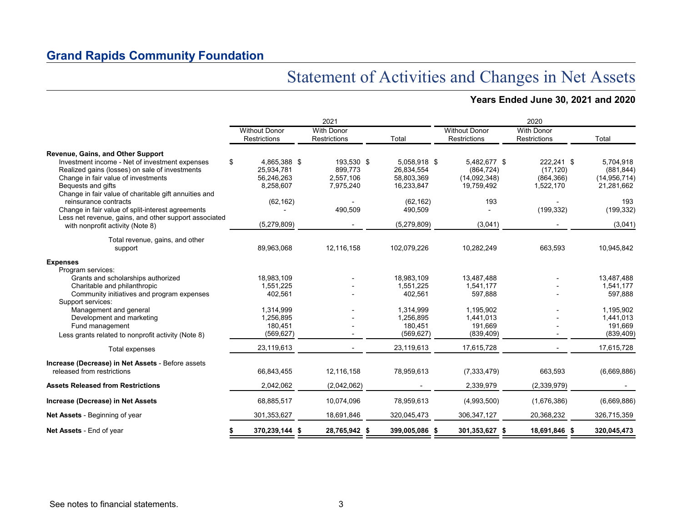## Statement of Activities and Changes in Net Assets

### **Years Ended June 30, 2021 and 2020**

|                                                                                                                                                                                                                        |                                                             | 2021                                            |                                                        | 2020                                                     |                                                    |                                                         |  |
|------------------------------------------------------------------------------------------------------------------------------------------------------------------------------------------------------------------------|-------------------------------------------------------------|-------------------------------------------------|--------------------------------------------------------|----------------------------------------------------------|----------------------------------------------------|---------------------------------------------------------|--|
|                                                                                                                                                                                                                        | <b>Without Donor</b><br><b>Restrictions</b>                 | <b>With Donor</b><br><b>Restrictions</b>        | Total                                                  | <b>Without Donor</b><br><b>Restrictions</b>              | <b>With Donor</b><br><b>Restrictions</b>           | Total                                                   |  |
| Revenue, Gains, and Other Support                                                                                                                                                                                      |                                                             |                                                 |                                                        |                                                          |                                                    |                                                         |  |
| Investment income - Net of investment expenses<br>Realized gains (losses) on sale of investments<br>Change in fair value of investments<br>Bequests and gifts<br>Change in fair value of charitable gift annuities and | \$<br>4,865,388 \$<br>25,934,781<br>56,246,263<br>8,258,607 | 193,530 \$<br>899,773<br>2,557,106<br>7,975,240 | 5.058.918 \$<br>26,834,554<br>58,803,369<br>16,233,847 | 5,482,677 \$<br>(864, 724)<br>(14,092,348)<br>19,759,492 | 222,241 \$<br>(17, 120)<br>(864, 366)<br>1,522,170 | 5.704.918<br>(881, 844)<br>(14, 956, 714)<br>21,281,662 |  |
| reinsurance contracts<br>Change in fair value of split-interest agreements<br>Less net revenue, gains, and other support associated                                                                                    | (62, 162)                                                   | 490,509                                         | (62, 162)<br>490,509                                   | 193                                                      | (199, 332)                                         | 193<br>(199, 332)                                       |  |
| with nonprofit activity (Note 8)                                                                                                                                                                                       | (5,279,809)                                                 |                                                 | (5,279,809)                                            | (3,041)                                                  |                                                    | (3,041)                                                 |  |
| Total revenue, gains, and other<br>support                                                                                                                                                                             | 89,963,068                                                  | 12,116,158                                      | 102,079,226                                            | 10,282,249                                               | 663,593                                            | 10,945,842                                              |  |
| <b>Expenses</b>                                                                                                                                                                                                        |                                                             |                                                 |                                                        |                                                          |                                                    |                                                         |  |
| Program services:<br>Grants and scholarships authorized<br>Charitable and philanthropic<br>Community initiatives and program expenses                                                                                  | 18.983.109<br>1,551,225<br>402,561                          |                                                 | 18,983,109<br>1,551,225<br>402,561                     | 13,487,488<br>1,541,177<br>597,888                       |                                                    | 13,487,488<br>1,541,177<br>597,888                      |  |
| Support services:<br>Management and general<br>Development and marketing<br>Fund management<br>Less grants related to nonprofit activity (Note 8)                                                                      | 1,314,999<br>1,256,895<br>180,451<br>(569, 627)             |                                                 | 1,314,999<br>1,256,895<br>180,451<br>(569, 627)        | 1.195.902<br>1,441,013<br>191.669<br>(839, 409)          |                                                    | 1,195,902<br>1,441,013<br>191,669<br>(839, 409)         |  |
| Total expenses                                                                                                                                                                                                         | 23,119,613                                                  |                                                 | 23,119,613                                             | 17,615,728                                               |                                                    | 17,615,728                                              |  |
| Increase (Decrease) in Net Assets - Before assets<br>released from restrictions                                                                                                                                        | 66,843,455                                                  | 12,116,158                                      | 78,959,613                                             | (7, 333, 479)                                            | 663,593                                            | (6,669,886)                                             |  |
| <b>Assets Released from Restrictions</b>                                                                                                                                                                               | 2,042,062                                                   | (2,042,062)                                     |                                                        | 2,339,979                                                | (2,339,979)                                        |                                                         |  |
| Increase (Decrease) in Net Assets                                                                                                                                                                                      | 68,885,517                                                  | 10,074,096                                      | 78,959,613                                             | (4,993,500)                                              | (1,676,386)                                        | (6,669,886)                                             |  |
| Net Assets - Beginning of year                                                                                                                                                                                         | 301,353,627                                                 | 18,691,846                                      | 320,045,473                                            | 306,347,127                                              | 20,368,232                                         | 326,715,359                                             |  |
| Net Assets - End of year                                                                                                                                                                                               | 370,239,144 \$                                              | 28,765,942 \$                                   | 399,005,086 \$                                         | 301,353,627 \$                                           | 18,691,846 \$                                      | 320,045,473                                             |  |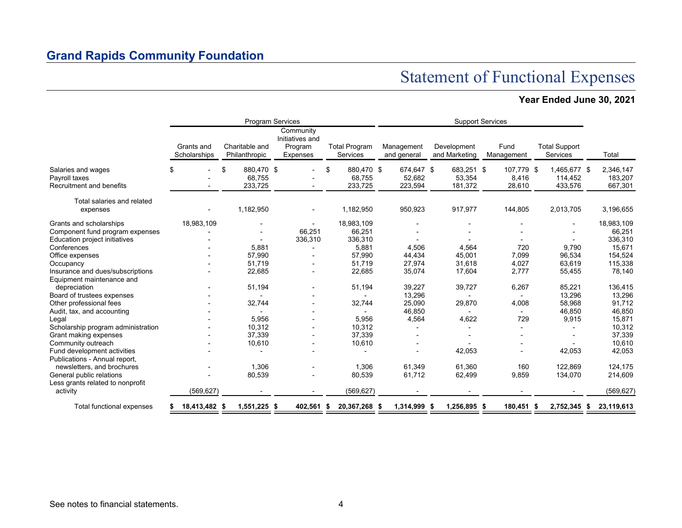## Statement of Functional Expenses

### **Year Ended June 30, 2021**

|                                                                            |                            | <b>Program Services</b>               |                                                     |                                       | <b>Support Services</b>         |                                 |                               |                                    |                                 |  |
|----------------------------------------------------------------------------|----------------------------|---------------------------------------|-----------------------------------------------------|---------------------------------------|---------------------------------|---------------------------------|-------------------------------|------------------------------------|---------------------------------|--|
|                                                                            | Grants and<br>Scholarships | Charitable and<br>Philanthropic       | Community<br>Initiatives and<br>Program<br>Expenses | <b>Total Program</b><br>Services      | Management<br>and general       | Development<br>and Marketing    | Fund<br>Management            | <b>Total Support</b><br>Services   | Total                           |  |
| Salaries and wages<br>Payroll taxes<br><b>Recruitment and benefits</b>     | \$                         | \$<br>880,470 \$<br>68,755<br>233,725 |                                                     | \$<br>880,470 \$<br>68,755<br>233,725 | 674,647 \$<br>52,682<br>223,594 | 683,251 \$<br>53,354<br>181,372 | 107,779 \$<br>8,416<br>28,610 | 1,465,677 \$<br>114,452<br>433,576 | 2,346,147<br>183,207<br>667,301 |  |
| Total salaries and related<br>expenses                                     |                            | 1,182,950                             |                                                     | 1,182,950                             | 950,923                         | 917,977                         | 144,805                       | 2,013,705                          | 3,196,655                       |  |
| Grants and scholarships<br>Component fund program expenses                 | 18,983,109                 |                                       | 66,251                                              | 18,983,109<br>66,251                  |                                 |                                 |                               |                                    | 18,983,109<br>66,251            |  |
| Education project initiatives<br>Conferences<br>Office expenses            |                            | 5,881<br>57,990                       | 336,310                                             | 336,310<br>5,881<br>57,990            | 4,506<br>44,434                 | 4,564<br>45,001                 | 720<br>7,099                  | 9,790<br>96,534                    | 336,310<br>15,671<br>154,524    |  |
| Occupancy<br>Insurance and dues/subscriptions                              |                            | 51,719<br>22,685                      |                                                     | 51,719<br>22,685                      | 27,974<br>35,074                | 31,618<br>17,604                | 4,027<br>2,777                | 63,619<br>55,455                   | 115,338<br>78,140               |  |
| Equipment maintenance and<br>depreciation<br>Board of trustees expenses    |                            | 51,194                                |                                                     | 51,194                                | 39,227<br>13,296                | 39,727                          | 6,267                         | 85,221<br>13,296                   | 136,415<br>13,296               |  |
| Other professional fees<br>Audit, tax, and accounting                      |                            | 32,744                                |                                                     | 32,744                                | 25,090<br>46,850                | 29,870                          | 4,008                         | 58,968<br>46,850                   | 91,712<br>46,850                |  |
| Legal<br>Scholarship program administration                                |                            | 5,956<br>10,312                       |                                                     | 5,956<br>10,312                       | 4,564                           | 4,622                           | 729                           | 9,915                              | 15,871<br>10,312                |  |
| Grant making expenses<br>Community outreach<br>Fund development activities |                            | 37,339<br>10,610                      |                                                     | 37,339<br>10,610                      |                                 | 42,053                          |                               | 42,053                             | 37,339<br>10,610<br>42,053      |  |
| Publications - Annual report,<br>newsletters, and brochures                |                            | 1,306                                 |                                                     | 1,306                                 | 61,349                          | 61,360                          | 160                           | 122,869                            | 124,175                         |  |
| General public relations<br>Less grants related to nonprofit<br>activity   | (569, 627)                 | 80,539                                |                                                     | 80,539<br>(569, 627)                  | 61,712                          | 62,499                          | 9,859                         | 134,070                            | 214,609<br>(569, 627)           |  |
| Total functional expenses                                                  | 18,413,482 \$              | 1,551,225 \$                          | 402,561 \$                                          | 20,367,268 \$                         | 1,314,999                       | 1,256,895 \$<br>-S              | 180,451 \$                    | 2,752,345 \$                       | 23,119,613                      |  |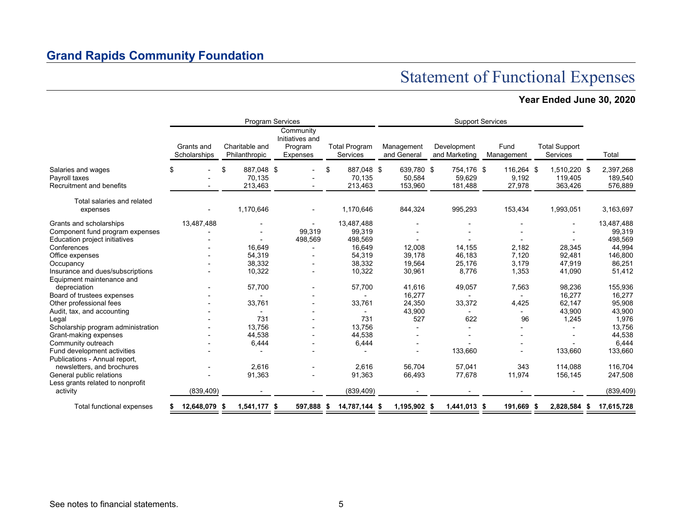## Statement of Functional Expenses

### **Year Ended June 30, 2020**

|                                                                 |                            |                                       | <b>Program Services</b>                             |                                       | <b>Support Services</b>         |                                 |                               |                                    |                                 |  |
|-----------------------------------------------------------------|----------------------------|---------------------------------------|-----------------------------------------------------|---------------------------------------|---------------------------------|---------------------------------|-------------------------------|------------------------------------|---------------------------------|--|
|                                                                 | Grants and<br>Scholarships | Charitable and<br>Philanthropic       | Community<br>Initiatives and<br>Program<br>Expenses | <b>Total Program</b><br>Services      | Management<br>and General       | Development<br>and Marketing    | Fund<br>Management            | <b>Total Support</b><br>Services   | Total                           |  |
| Salaries and wages<br>Payroll taxes<br>Recruitment and benefits | ß.                         | 887,048 \$<br>\$<br>70,135<br>213,463 |                                                     | \$<br>887.048 \$<br>70.135<br>213,463 | 639,780 \$<br>50.584<br>153,960 | 754,176 \$<br>59,629<br>181,488 | 116.264 \$<br>9.192<br>27,978 | 1,510,220 \$<br>119.405<br>363,426 | 2,397,268<br>189,540<br>576,889 |  |
| Total salaries and related<br>expenses                          |                            | 1,170,646                             |                                                     | 1,170,646                             | 844,324                         | 995,293                         | 153,434                       | 1,993,051                          | 3,163,697                       |  |
|                                                                 |                            |                                       |                                                     |                                       |                                 |                                 |                               |                                    |                                 |  |
| Grants and scholarships                                         | 13,487,488                 |                                       |                                                     | 13,487,488                            |                                 |                                 |                               |                                    | 13,487,488                      |  |
| Component fund program expenses                                 |                            |                                       | 99,319                                              | 99,319                                |                                 |                                 |                               |                                    | 99,319                          |  |
| Education project initiatives                                   |                            |                                       | 498,569                                             | 498,569                               |                                 |                                 |                               |                                    | 498,569                         |  |
| Conferences                                                     |                            | 16.649                                |                                                     | 16,649                                | 12,008                          | 14,155                          | 2,182                         | 28,345                             | 44,994                          |  |
| Office expenses                                                 |                            | 54,319                                |                                                     | 54,319                                | 39,178                          | 46,183                          | 7,120                         | 92,481                             | 146,800                         |  |
| Occupancy                                                       |                            | 38,332                                |                                                     | 38,332                                | 19,564                          | 25,176                          | 3,179                         | 47,919                             | 86,251                          |  |
| Insurance and dues/subscriptions<br>Equipment maintenance and   |                            | 10,322                                |                                                     | 10,322                                | 30,961                          | 8,776                           | 1,353                         | 41,090                             | 51,412                          |  |
| depreciation                                                    |                            | 57,700                                |                                                     | 57,700                                | 41,616                          | 49,057                          | 7,563                         | 98,236                             | 155,936                         |  |
| Board of trustees expenses                                      |                            |                                       |                                                     |                                       | 16,277                          |                                 |                               | 16,277                             | 16,277                          |  |
| Other professional fees                                         |                            | 33,761                                |                                                     | 33,761                                | 24,350                          | 33,372                          | 4,425                         | 62,147                             | 95,908                          |  |
| Audit, tax, and accounting                                      |                            |                                       |                                                     |                                       | 43,900                          |                                 |                               | 43,900                             | 43,900                          |  |
| Legal                                                           |                            | 731                                   |                                                     | 731                                   | 527                             | 622                             | 96                            | 1,245                              | 1,976                           |  |
| Scholarship program administration                              |                            | 13.756                                |                                                     | 13.756                                |                                 |                                 |                               |                                    | 13,756                          |  |
| Grant-making expenses                                           |                            | 44,538                                |                                                     | 44,538                                |                                 |                                 |                               |                                    | 44,538                          |  |
| Community outreach                                              |                            | 6,444                                 |                                                     | 6,444                                 |                                 |                                 |                               |                                    | 6,444                           |  |
| Fund development activities                                     |                            |                                       |                                                     |                                       |                                 | 133,660                         |                               | 133,660                            | 133,660                         |  |
| Publications - Annual report,                                   |                            |                                       |                                                     |                                       |                                 |                                 |                               |                                    |                                 |  |
| newsletters, and brochures                                      |                            | 2.616                                 |                                                     | 2,616                                 | 56.704                          | 57,041                          | 343                           | 114,088                            | 116,704                         |  |
| General public relations                                        |                            | 91,363                                |                                                     | 91,363                                | 66,493                          | 77,678                          | 11,974                        | 156,145                            | 247,508                         |  |
| Less grants related to nonprofit                                |                            |                                       |                                                     |                                       |                                 |                                 |                               |                                    |                                 |  |
| activity                                                        | (839, 409)                 |                                       |                                                     | (839, 409)                            |                                 |                                 |                               |                                    | (839, 409)                      |  |
| Total functional expenses                                       | 12,648,079                 | 1,541,177 \$<br>- 5                   | 597,888 \$                                          | 14,787,144 \$                         | 1,195,902 \$                    | 1,441,013 \$                    | 191,669                       | 2,828,584 \$<br>- 5                | 17,615,728                      |  |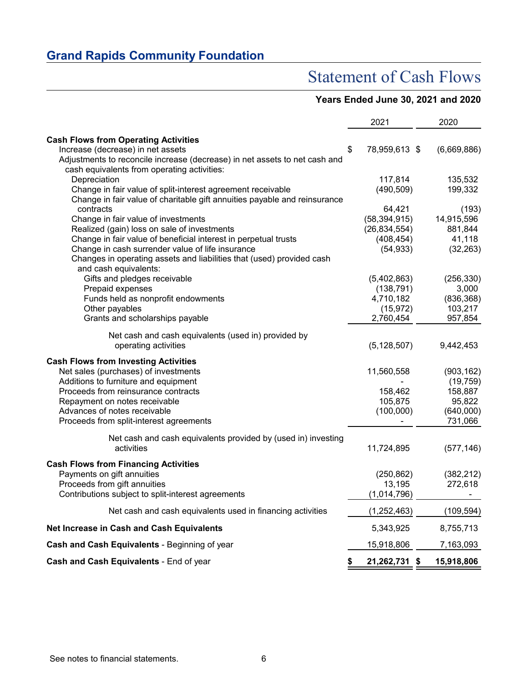## Statement of Cash Flows

### **Years Ended June 30, 2021 and 2020**

|                                                                            | 2021                    | 2020                |
|----------------------------------------------------------------------------|-------------------------|---------------------|
| <b>Cash Flows from Operating Activities</b>                                |                         |                     |
| Increase (decrease) in net assets                                          | \$<br>78,959,613 \$     | (6,669,886)         |
| Adjustments to reconcile increase (decrease) in net assets to net cash and |                         |                     |
| cash equivalents from operating activities:                                |                         |                     |
| Depreciation                                                               | 117,814                 | 135,532             |
| Change in fair value of split-interest agreement receivable                | (490, 509)              | 199,332             |
| Change in fair value of charitable gift annuities payable and reinsurance  |                         |                     |
| contracts                                                                  | 64,421                  | (193)               |
| Change in fair value of investments                                        | (58, 394, 915)          | 14,915,596          |
| Realized (gain) loss on sale of investments                                | (26, 834, 554)          | 881,844             |
| Change in fair value of beneficial interest in perpetual trusts            | (408, 454)              | 41,118              |
| Change in cash surrender value of life insurance                           | (54, 933)               | (32, 263)           |
| Changes in operating assets and liabilities that (used) provided cash      |                         |                     |
| and cash equivalents:                                                      |                         |                     |
| Gifts and pledges receivable                                               | (5,402,863)             | (256, 330)<br>3,000 |
| Prepaid expenses                                                           | (138, 791)<br>4,710,182 | (836, 368)          |
| Funds held as nonprofit endowments<br>Other payables                       | (15, 972)               | 103,217             |
| Grants and scholarships payable                                            | 2,760,454               | 957,854             |
|                                                                            |                         |                     |
| Net cash and cash equivalents (used in) provided by                        |                         |                     |
| operating activities                                                       | (5, 128, 507)           | 9,442,453           |
| <b>Cash Flows from Investing Activities</b>                                |                         |                     |
| Net sales (purchases) of investments                                       | 11,560,558              | (903, 162)          |
| Additions to furniture and equipment                                       |                         | (19, 759)           |
| Proceeds from reinsurance contracts                                        | 158,462                 | 158,887             |
| Repayment on notes receivable                                              | 105,875                 | 95,822              |
| Advances of notes receivable                                               | (100,000)               | (640,000)           |
| Proceeds from split-interest agreements                                    |                         | 731,066             |
| Net cash and cash equivalents provided by (used in) investing              |                         |                     |
| activities                                                                 | 11,724,895              | (577, 146)          |
| <b>Cash Flows from Financing Activities</b>                                |                         |                     |
| Payments on gift annuities                                                 | (250, 862)              | (382, 212)          |
| Proceeds from gift annuities                                               | 13,195                  | 272,618             |
| Contributions subject to split-interest agreements                         | (1,014,796)             |                     |
|                                                                            |                         |                     |
| Net cash and cash equivalents used in financing activities                 | (1, 252, 463)           | (109, 594)          |
| Net Increase in Cash and Cash Equivalents                                  | 5,343,925               | 8,755,713           |
| Cash and Cash Equivalents - Beginning of year                              | 15,918,806              | 7,163,093           |
| Cash and Cash Equivalents - End of year                                    | \$<br>21,262,731 \$     | 15,918,806          |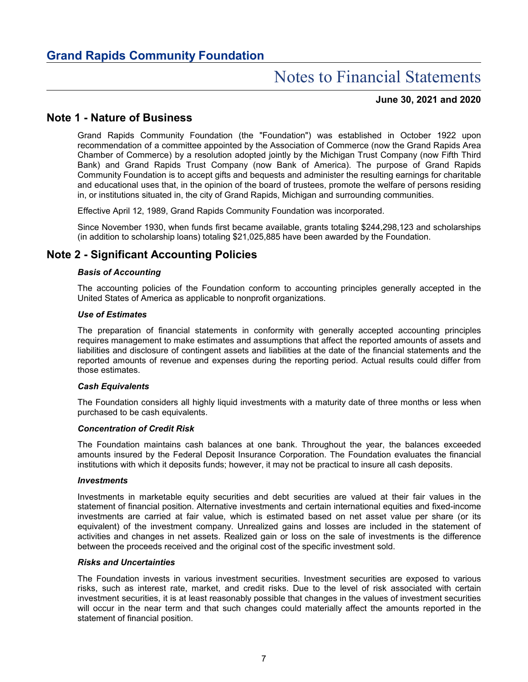#### **June 30, 2021 and 2020**

### **Note 1 - Nature of Business**

Grand Rapids Community Foundation (the "Foundation") was established in October 1922 upon recommendation of a committee appointed by the Association of Commerce (now the Grand Rapids Area Chamber of Commerce) by a resolution adopted jointly by the Michigan Trust Company (now Fifth Third Bank) and Grand Rapids Trust Company (now Bank of America). The purpose of Grand Rapids Community Foundation is to accept gifts and bequests and administer the resulting earnings for charitable and educational uses that, in the opinion of the board of trustees, promote the welfare of persons residing in, or institutions situated in, the city of Grand Rapids, Michigan and surrounding communities.

Effective April 12, 1989, Grand Rapids Community Foundation was incorporated.

Since November 1930, when funds first became available, grants totaling \$244,298,123 and scholarships (in addition to scholarship loans) totaling \$21,025,885 have been awarded by the Foundation.

### **Note 2 - Significant Accounting Policies**

#### *Basis of Accounting*

The accounting policies of the Foundation conform to accounting principles generally accepted in the United States of America as applicable to nonprofit organizations.

#### *Use of Estimates*

The preparation of financial statements in conformity with generally accepted accounting principles requires management to make estimates and assumptions that affect the reported amounts of assets and liabilities and disclosure of contingent assets and liabilities at the date of the financial statements and the reported amounts of revenue and expenses during the reporting period. Actual results could differ from those estimates.

#### *Cash Equivalents*

The Foundation considers all highly liquid investments with a maturity date of three months or less when purchased to be cash equivalents.

#### *Concentration of Credit Risk*

The Foundation maintains cash balances at one bank. Throughout the year, the balances exceeded amounts insured by the Federal Deposit Insurance Corporation. The Foundation evaluates the financial institutions with which it deposits funds; however, it may not be practical to insure all cash deposits.

#### *Investments*

Investments in marketable equity securities and debt securities are valued at their fair values in the statement of financial position. Alternative investments and certain international equities and fixed-income investments are carried at fair value, which is estimated based on net asset value per share (or its equivalent) of the investment company. Unrealized gains and losses are included in the statement of activities and changes in net assets. Realized gain or loss on the sale of investments is the difference between the proceeds received and the original cost of the specific investment sold.

#### *Risks and Uncertainties*

The Foundation invests in various investment securities. Investment securities are exposed to various risks, such as interest rate, market, and credit risks. Due to the level of risk associated with certain investment securities, it is at least reasonably possible that changes in the values of investment securities will occur in the near term and that such changes could materially affect the amounts reported in the statement of financial position.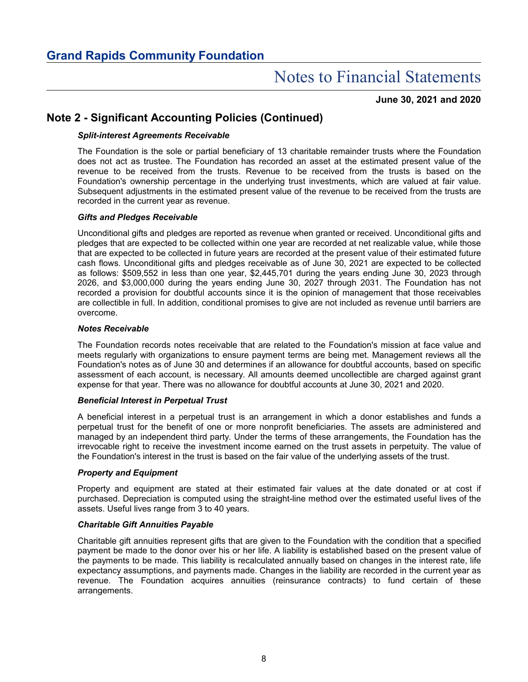**June 30, 2021 and 2020**

### **Note 2 - Significant Accounting Policies (Continued)**

#### *Split-interest Agreements Receivable*

The Foundation is the sole or partial beneficiary of 13 charitable remainder trusts where the Foundation does not act as trustee. The Foundation has recorded an asset at the estimated present value of the revenue to be received from the trusts. Revenue to be received from the trusts is based on the Foundation's ownership percentage in the underlying trust investments, which are valued at fair value. Subsequent adjustments in the estimated present value of the revenue to be received from the trusts are recorded in the current year as revenue.

#### *Gifts and Pledges Receivable*

Unconditional gifts and pledges are reported as revenue when granted or received. Unconditional gifts and pledges that are expected to be collected within one year are recorded at net realizable value, while those that are expected to be collected in future years are recorded at the present value of their estimated future cash flows. Unconditional gifts and pledges receivable as of June 30, 2021 are expected to be collected as follows: \$509,552 in less than one year, \$2,445,701 during the years ending June 30, 2023 through 2026, and \$3,000,000 during the years ending June 30, 2027 through 2031. The Foundation has not recorded a provision for doubtful accounts since it is the opinion of management that those receivables are collectible in full. In addition, conditional promises to give are not included as revenue until barriers are overcome.

#### *Notes Receivable*

The Foundation records notes receivable that are related to the Foundation's mission at face value and meets regularly with organizations to ensure payment terms are being met. Management reviews all the Foundation's notes as of June 30 and determines if an allowance for doubtful accounts, based on specific assessment of each account, is necessary. All amounts deemed uncollectible are charged against grant expense for that year. There was no allowance for doubtful accounts at June 30, 2021 and 2020.

#### *Beneficial Interest in Perpetual Trust*

A beneficial interest in a perpetual trust is an arrangement in which a donor establishes and funds a perpetual trust for the benefit of one or more nonprofit beneficiaries. The assets are administered and managed by an independent third party. Under the terms of these arrangements, the Foundation has the irrevocable right to receive the investment income earned on the trust assets in perpetuity. The value of the Foundation's interest in the trust is based on the fair value of the underlying assets of the trust.

#### *Property and Equipment*

Property and equipment are stated at their estimated fair values at the date donated or at cost if purchased. Depreciation is computed using the straight-line method over the estimated useful lives of the assets. Useful lives range from 3 to 40 years.

#### *Charitable Gift Annuities Payable*

Charitable gift annuities represent gifts that are given to the Foundation with the condition that a specified payment be made to the donor over his or her life. A liability is established based on the present value of the payments to be made. This liability is recalculated annually based on changes in the interest rate, life expectancy assumptions, and payments made. Changes in the liability are recorded in the current year as revenue. The Foundation acquires annuities (reinsurance contracts) to fund certain of these arrangements.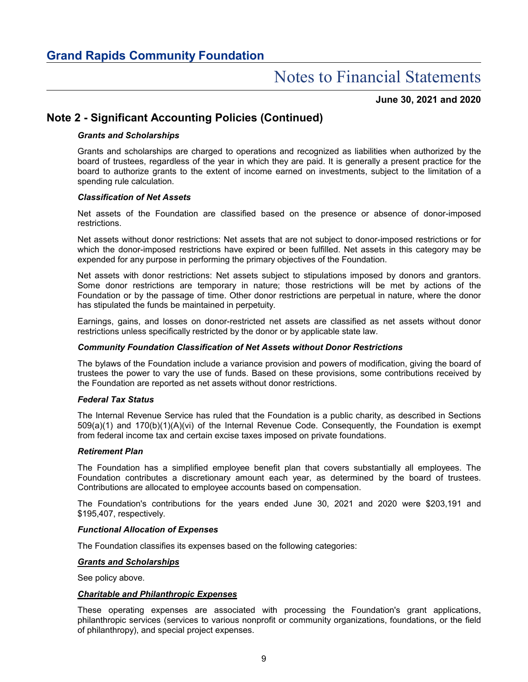#### **June 30, 2021 and 2020**

### **Note 2 - Significant Accounting Policies (Continued)**

#### *Grants and Scholarships*

Grants and scholarships are charged to operations and recognized as liabilities when authorized by the board of trustees, regardless of the year in which they are paid. It is generally a present practice for the board to authorize grants to the extent of income earned on investments, subject to the limitation of a spending rule calculation.

#### *Classification of Net Assets*

Net assets of the Foundation are classified based on the presence or absence of donor-imposed restrictions.

Net assets without donor restrictions: Net assets that are not subject to donor-imposed restrictions or for which the donor-imposed restrictions have expired or been fulfilled. Net assets in this category may be expended for any purpose in performing the primary objectives of the Foundation.

Net assets with donor restrictions: Net assets subject to stipulations imposed by donors and grantors. Some donor restrictions are temporary in nature; those restrictions will be met by actions of the Foundation or by the passage of time. Other donor restrictions are perpetual in nature, where the donor has stipulated the funds be maintained in perpetuity.

Earnings, gains, and losses on donor-restricted net assets are classified as net assets without donor restrictions unless specifically restricted by the donor or by applicable state law.

#### *Community Foundation Classification of Net Assets without Donor Restrictions*

The bylaws of the Foundation include a variance provision and powers of modification, giving the board of trustees the power to vary the use of funds. Based on these provisions, some contributions received by the Foundation are reported as net assets without donor restrictions.

#### *Federal Tax Status*

The Internal Revenue Service has ruled that the Foundation is a public charity, as described in Sections 509(a)(1) and 170(b)(1)(A)(vi) of the Internal Revenue Code. Consequently, the Foundation is exempt from federal income tax and certain excise taxes imposed on private foundations.

#### *Retirement Plan*

The Foundation has a simplified employee benefit plan that covers substantially all employees. The Foundation contributes a discretionary amount each year, as determined by the board of trustees. Contributions are allocated to employee accounts based on compensation.

The Foundation's contributions for the years ended June 30, 2021 and 2020 were \$203,191 and \$195,407, respectively.

#### *Functional Allocation of Expenses*

The Foundation classifies its expenses based on the following categories:

#### *Grants and Scholarships*

See policy above.

#### *Charitable and Philanthropic Expenses*

These operating expenses are associated with processing the Foundation's grant applications, philanthropic services (services to various nonprofit or community organizations, foundations, or the field of philanthropy), and special project expenses.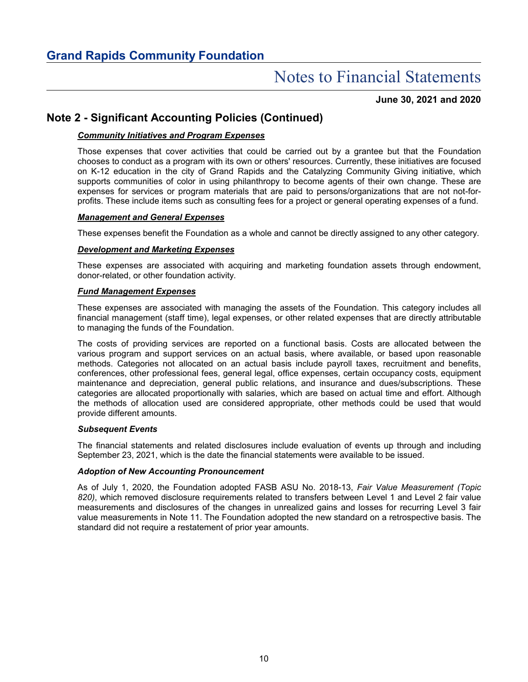**June 30, 2021 and 2020**

### **Note 2 - Significant Accounting Policies (Continued)**

#### *Community Initiatives and Program Expenses*

Those expenses that cover activities that could be carried out by a grantee but that the Foundation chooses to conduct as a program with its own or others' resources. Currently, these initiatives are focused on K-12 education in the city of Grand Rapids and the Catalyzing Community Giving initiative, which supports communities of color in using philanthropy to become agents of their own change. These are expenses for services or program materials that are paid to persons/organizations that are not not-forprofits. These include items such as consulting fees for a project or general operating expenses of a fund.

#### *Management and General Expenses*

These expenses benefit the Foundation as a whole and cannot be directly assigned to any other category.

#### *Development and Marketing Expenses*

These expenses are associated with acquiring and marketing foundation assets through endowment, donor-related, or other foundation activity.

#### *Fund Management Expenses*

These expenses are associated with managing the assets of the Foundation. This category includes all financial management (staff time), legal expenses, or other related expenses that are directly attributable to managing the funds of the Foundation.

The costs of providing services are reported on a functional basis. Costs are allocated between the various program and support services on an actual basis, where available, or based upon reasonable methods. Categories not allocated on an actual basis include payroll taxes, recruitment and benefits, conferences, other professional fees, general legal, office expenses, certain occupancy costs, equipment maintenance and depreciation, general public relations, and insurance and dues/subscriptions. These categories are allocated proportionally with salaries, which are based on actual time and effort. Although the methods of allocation used are considered appropriate, other methods could be used that would provide different amounts.

#### *Subsequent Events*

The financial statements and related disclosures include evaluation of events up through and including September 23, 2021, which is the date the financial statements were available to be issued.

#### *Adoption of New Accounting Pronouncement*

As of July 1, 2020, the Foundation adopted FASB ASU No. 2018-13, *Fair Value Measurement (Topic 820)*, which removed disclosure requirements related to transfers between Level 1 and Level 2 fair value measurements and disclosures of the changes in unrealized gains and losses for recurring Level 3 fair value measurements in Note 11. The Foundation adopted the new standard on a retrospective basis. The standard did not require a restatement of prior year amounts.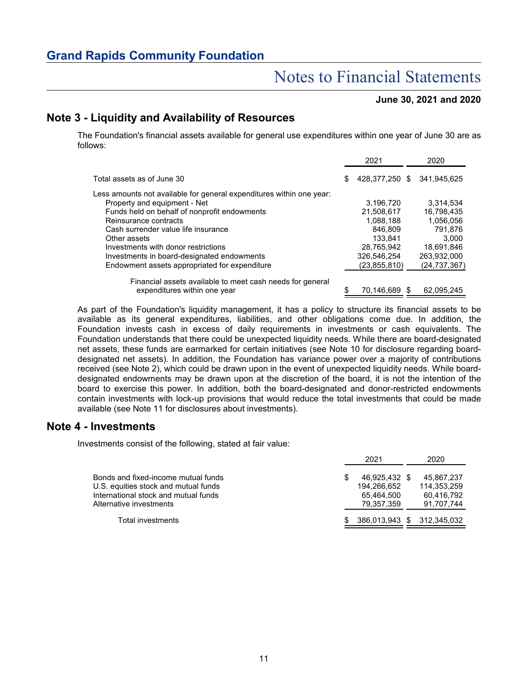## Notes to Financial Statements

#### **June 30, 2021 and 2020**

### **Note 3 - Liquidity and Availability of Resources**

The Foundation's financial assets available for general use expenditures within one year of June 30 are as follows:

|                                                                                           |   | 2021           | 2020           |
|-------------------------------------------------------------------------------------------|---|----------------|----------------|
| Total assets as of June 30                                                                | S | 428.377.250 \$ | 341.945.625    |
| Less amounts not available for general expenditures within one year:                      |   |                |                |
| Property and equipment - Net                                                              |   | 3,196,720      | 3.314.534      |
| Funds held on behalf of nonprofit endowments                                              |   | 21.508.617     | 16.798.435     |
| Reinsurance contracts                                                                     |   | 1.088.188      | 1.056.056      |
| Cash surrender value life insurance                                                       |   | 846.809        | 791.876        |
| Other assets                                                                              |   | 133.841        | 3.000          |
| Investments with donor restrictions                                                       |   | 28,765,942     | 18.691.846     |
| Investments in board-designated endowments                                                |   | 326,546,254    | 263,932,000    |
| Endowment assets appropriated for expenditure                                             |   | (23,855,810)   | (24, 737, 367) |
|                                                                                           |   |                |                |
| Financial assets available to meet cash needs for general<br>expenditures within one year |   | 70.146,689     | 62.095.245     |

As part of the Foundation's liquidity management, it has a policy to structure its financial assets to be available as its general expenditures, liabilities, and other obligations come due. In addition, the Foundation invests cash in excess of daily requirements in investments or cash equivalents. The Foundation understands that there could be unexpected liquidity needs. While there are board-designated net assets, these funds are earmarked for certain initiatives (see Note 10 for disclosure regarding boarddesignated net assets). In addition, the Foundation has variance power over a majority of contributions received (see Note 2), which could be drawn upon in the event of unexpected liquidity needs. While boarddesignated endowments may be drawn upon at the discretion of the board, it is not the intention of the board to exercise this power. In addition, both the board-designated and donor-restricted endowments contain investments with lock-up provisions that would reduce the total investments that could be made available (see Note 11 for disclosures about investments).

#### **Note 4 - Investments**

Investments consist of the following, stated at fair value:

|                                      |    | 2021          | 2020                       |
|--------------------------------------|----|---------------|----------------------------|
| Bonds and fixed-income mutual funds  |    | 46.925.432 \$ | 45.867.237                 |
| U.S. equities stock and mutual funds |    | 194.266.652   | 114.353.259                |
| International stock and mutual funds |    | 65.464.500    | 60,416,792                 |
| Alternative investments              |    | 79.357.359    | 91.707.744                 |
| Total investments                    | S. |               | 386.013.943 \$ 312.345.032 |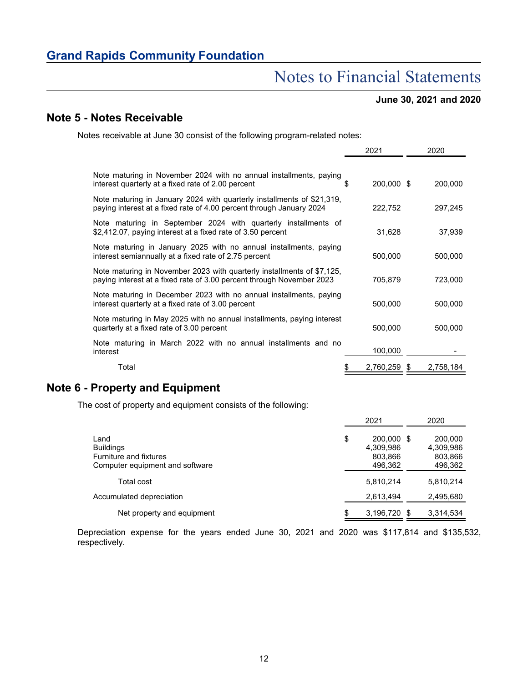## Notes to Financial Statements

### **June 30, 2021 and 2020**

### **Note 5 - Notes Receivable**

Notes receivable at June 30 consist of the following program-related notes:

|                                                                                                                                                 |   | 2021         | 2020      |
|-------------------------------------------------------------------------------------------------------------------------------------------------|---|--------------|-----------|
|                                                                                                                                                 |   |              |           |
| Note maturing in November 2024 with no annual installments, paying<br>interest quarterly at a fixed rate of 2.00 percent                        | S | 200,000 \$   | 200,000   |
| Note maturing in January 2024 with quarterly installments of \$21,319,<br>paying interest at a fixed rate of 4.00 percent through January 2024  |   | 222,752      | 297,245   |
| Note maturing in September 2024 with quarterly installments of<br>\$2,412.07, paying interest at a fixed rate of 3.50 percent                   |   | 31,628       | 37,939    |
| Note maturing in January 2025 with no annual installments, paying<br>interest semiannually at a fixed rate of 2.75 percent                      |   | 500,000      | 500,000   |
| Note maturing in November 2023 with quarterly installments of \$7,125,<br>paying interest at a fixed rate of 3.00 percent through November 2023 |   | 705,879      | 723,000   |
| Note maturing in December 2023 with no annual installments, paying<br>interest quarterly at a fixed rate of 3.00 percent                        |   | 500,000      | 500,000   |
| Note maturing in May 2025 with no annual installments, paying interest<br>quarterly at a fixed rate of 3.00 percent                             |   | 500,000      | 500,000   |
| Note maturing in March 2022 with no annual installments and no<br>interest                                                                      |   | 100,000      |           |
| Total                                                                                                                                           |   | 2,760,259 \$ | 2,758,184 |

### **Note 6 - Property and Equipment**

The cost of property and equipment consists of the following:

|                                 | 2021               | 2020      |
|---------------------------------|--------------------|-----------|
| Land                            | \$<br>200,000 \$   | 200,000   |
| <b>Buildings</b>                | 4,309,986          | 4,309,986 |
| <b>Furniture and fixtures</b>   | 803,866            | 803,866   |
| Computer equipment and software | 496,362            | 496,362   |
| Total cost                      | 5,810,214          | 5.810.214 |
| Accumulated depreciation        | 2,613,494          | 2,495,680 |
| Net property and equipment      | \$<br>3,196,720 \$ | 3,314,534 |

Depreciation expense for the years ended June 30, 2021 and 2020 was \$117,814 and \$135,532, respectively.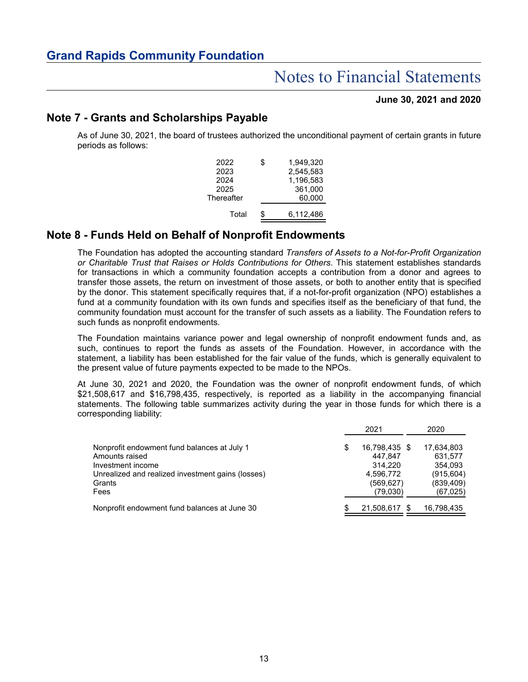#### **June 30, 2021 and 2020**

### **Note 7 - Grants and Scholarships Payable**

As of June 30, 2021, the board of trustees authorized the unconditional payment of certain grants in future periods as follows:

| \$<br>1.949.320 |
|-----------------|
| 2,545,583       |
| 1.196.583       |
| 361.000         |
| 60,000          |
| 6,112,486       |
|                 |

### **Note 8 - Funds Held on Behalf of Nonprofit Endowments**

The Foundation has adopted the accounting standard *Transfers of Assets to a Not-for-Profit Organization or Charitable Trust that Raises or Holds Contributions for Others*. This statement establishes standards for transactions in which a community foundation accepts a contribution from a donor and agrees to transfer those assets, the return on investment of those assets, or both to another entity that is specified by the donor. This statement specifically requires that, if a not-for-profit organization (NPO) establishes a fund at a community foundation with its own funds and specifies itself as the beneficiary of that fund, the community foundation must account for the transfer of such assets as a liability. The Foundation refers to such funds as nonprofit endowments.

The Foundation maintains variance power and legal ownership of nonprofit endowment funds and, as such, continues to report the funds as assets of the Foundation. However, in accordance with the statement, a liability has been established for the fair value of the funds, which is generally equivalent to the present value of future payments expected to be made to the NPOs.

At June 30, 2021 and 2020, the Foundation was the owner of nonprofit endowment funds, of which \$21,508,617 and \$16,798,435, respectively, is reported as a liability in the accompanying financial statements. The following table summarizes activity during the year in those funds for which there is a corresponding liability:

|                                                             |   | 2021                   | 2020                     |
|-------------------------------------------------------------|---|------------------------|--------------------------|
| Nonprofit endowment fund balances at July 1                 | S | 16,798,435 \$          | 17,634,803               |
| Amounts raised<br>Investment income                         |   | 447.847<br>314.220     | 631.577<br>354,093       |
| Unrealized and realized investment gains (losses)<br>Grants |   | 4,596,772<br>(569,627) | (915, 604)<br>(839, 409) |
| Fees                                                        |   | (79,030)               | (67, 025)                |
| Nonprofit endowment fund balances at June 30                |   | 21,508,617 \$          | 16,798,435               |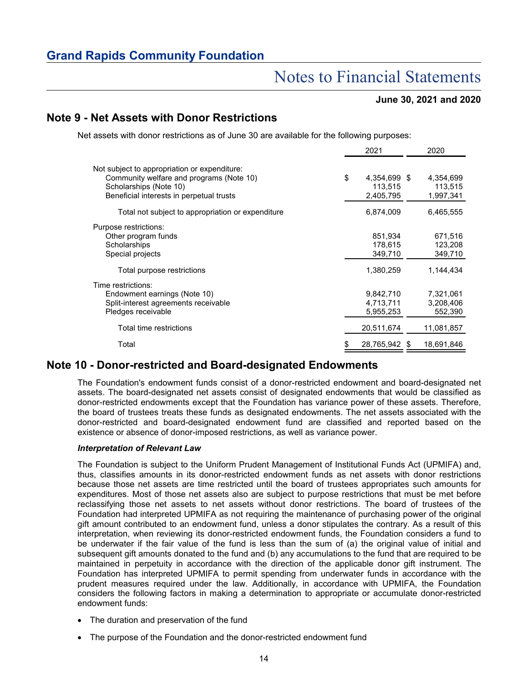## Notes to Financial Statements

#### **June 30, 2021 and 2020**

### **Note 9 - Net Assets with Donor Restrictions**

Net assets with donor restrictions as of June 30 are available for the following purposes:

|                                                                                                                                                                | 2021                                       | 2020                                       |
|----------------------------------------------------------------------------------------------------------------------------------------------------------------|--------------------------------------------|--------------------------------------------|
| Not subject to appropriation or expenditure:<br>Community welfare and programs (Note 10)<br>Scholarships (Note 10)<br>Beneficial interests in perpetual trusts | \$<br>4,354,699 \$<br>113,515<br>2,405,795 | 4,354,699<br>113,515<br>1,997,341          |
| Total not subject to appropriation or expenditure                                                                                                              | 6,874,009                                  | 6,465,555                                  |
| Purpose restrictions:<br>Other program funds<br>Scholarships<br>Special projects<br>Total purpose restrictions                                                 | 851,934<br>178,615<br>349,710<br>1,380,259 | 671,516<br>123,208<br>349,710<br>1,144,434 |
| Time restrictions:<br>Endowment earnings (Note 10)<br>Split-interest agreements receivable<br>Pledges receivable                                               | 9,842,710<br>4,713,711<br>5,955,253        | 7,321,061<br>3,208,406<br>552,390          |
| Total time restrictions                                                                                                                                        | 20,511,674                                 | 11,081,857                                 |
| Total                                                                                                                                                          | 28,765,942 \$                              | 18,691,846                                 |

### **Note 10 - Donor-restricted and Board-designated Endowments**

The Foundation's endowment funds consist of a donor-restricted endowment and board-designated net assets. The board-designated net assets consist of designated endowments that would be classified as donor-restricted endowments except that the Foundation has variance power of these assets. Therefore, the board of trustees treats these funds as designated endowments. The net assets associated with the donor-restricted and board-designated endowment fund are classified and reported based on the existence or absence of donor-imposed restrictions, as well as variance power.

#### *Interpretation of Relevant Law*

The Foundation is subject to the Uniform Prudent Management of Institutional Funds Act (UPMIFA) and, thus, classifies amounts in its donor-restricted endowment funds as net assets with donor restrictions because those net assets are time restricted until the board of trustees appropriates such amounts for expenditures. Most of those net assets also are subject to purpose restrictions that must be met before reclassifying those net assets to net assets without donor restrictions. The board of trustees of the Foundation had interpreted UPMIFA as not requiring the maintenance of purchasing power of the original gift amount contributed to an endowment fund, unless a donor stipulates the contrary. As a result of this interpretation, when reviewing its donor-restricted endowment funds, the Foundation considers a fund to be underwater if the fair value of the fund is less than the sum of (a) the original value of initial and subsequent gift amounts donated to the fund and (b) any accumulations to the fund that are required to be maintained in perpetuity in accordance with the direction of the applicable donor gift instrument. The Foundation has interpreted UPMIFA to permit spending from underwater funds in accordance with the prudent measures required under the law. Additionally, in accordance with UPMIFA, the Foundation considers the following factors in making a determination to appropriate or accumulate donor-restricted endowment funds:

- The duration and preservation of the fund
- The purpose of the Foundation and the donor-restricted endowment fund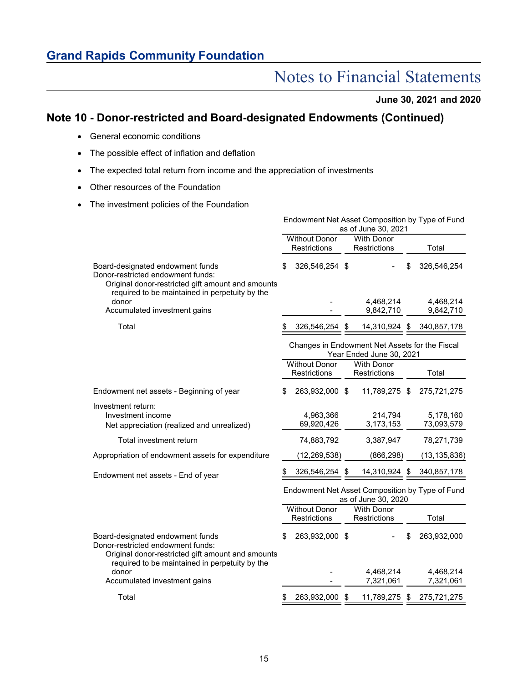## Notes to Financial Statements

**June 30, 2021 and 2020**

### **Note 10 - Donor-restricted and Board-designated Endowments (Continued)**

- General economic conditions
- The possible effect of inflation and deflation
- The expected total return from income and the appreciation of investments
- Other resources of the Foundation
- The investment policies of the Foundation

|                                                                                                                                                                              |                                      | Endowment Net Asset Composition by Type of Fund<br>as of June 30, 2021     |                           |
|------------------------------------------------------------------------------------------------------------------------------------------------------------------------------|--------------------------------------|----------------------------------------------------------------------------|---------------------------|
|                                                                                                                                                                              | <b>Without Donor</b><br>Restrictions | <b>With Donor</b><br>Restrictions                                          | Total                     |
| Board-designated endowment funds<br>Donor-restricted endowment funds:<br>Original donor-restricted gift amount and amounts<br>required to be maintained in perpetuity by the | \$<br>326,546,254 \$                 |                                                                            | 326,546,254               |
| donor                                                                                                                                                                        |                                      | 4,468,214                                                                  | 4,468,214                 |
| Accumulated investment gains                                                                                                                                                 |                                      | 9,842,710                                                                  | 9,842,710                 |
| Total                                                                                                                                                                        |                                      | 326,546,254 \$ 14,310,924 \$ 340,857,178                                   |                           |
|                                                                                                                                                                              |                                      | Changes in Endowment Net Assets for the Fiscal<br>Year Ended June 30, 2021 |                           |
|                                                                                                                                                                              | <b>Without Donor</b><br>Restrictions | <b>With Donor</b><br>Restrictions                                          | Total                     |
| Endowment net assets - Beginning of year                                                                                                                                     | \$<br>263,932,000 \$                 | 11,789,275 \$                                                              | 275,721,275               |
| Investment return:<br>Investment income<br>Net appreciation (realized and unrealized)                                                                                        | 4,963,366<br>69,920,426              | 214,794<br>3,173,153                                                       | 5,178,160<br>73,093,579   |
| Total investment return                                                                                                                                                      | 74,883,792                           | 3,387,947                                                                  | 78,271,739                |
| Appropriation of endowment assets for expenditure                                                                                                                            | (12, 269, 538)                       | (866, 298)                                                                 | (13, 135, 836)            |
| Endowment net assets - End of year                                                                                                                                           | 326,546,254 \$                       | 14,310,924 \$                                                              | 340, 857, 178             |
|                                                                                                                                                                              |                                      | Endowment Net Asset Composition by Type of Fund<br>as of June 30, 2020     |                           |
|                                                                                                                                                                              | <b>Without Donor</b><br>Restrictions | <b>With Donor</b><br>Restrictions                                          | Total                     |
| Board-designated endowment funds<br>Donor-restricted endowment funds:<br>Original donor-restricted gift amount and amounts<br>required to be maintained in perpetuity by the | \$<br>263,932,000 \$                 |                                                                            | 263,932,000               |
| donor                                                                                                                                                                        |                                      | 4,468,214                                                                  | 4,468,214                 |
| Accumulated investment gains                                                                                                                                                 |                                      | 7,321,061                                                                  | 7,321,061                 |
| Total                                                                                                                                                                        | 263,932,000 \$                       |                                                                            | 11,789,275 \$ 275,721,275 |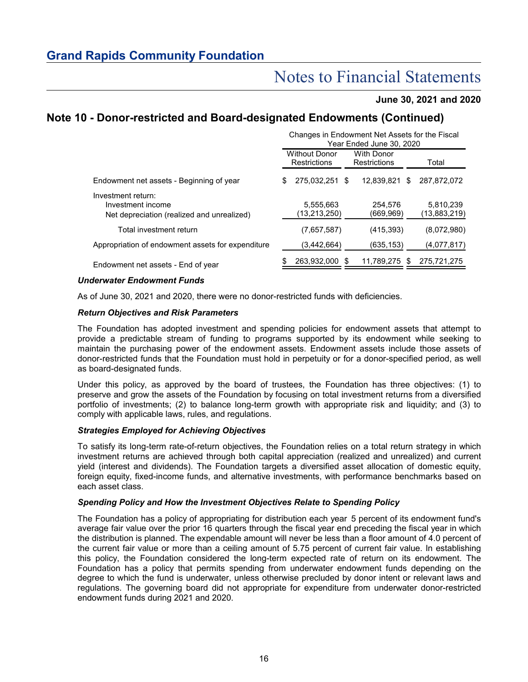#### **June 30, 2021 and 2020**

### **Note 10 - Donor-restricted and Board-designated Endowments (Continued)**

|                                                                                       | Changes in Endowment Net Assets for the Fiscal<br>Year Ended June 30, 2020 |                                             |                                          |                      |   |                           |  |  |  |
|---------------------------------------------------------------------------------------|----------------------------------------------------------------------------|---------------------------------------------|------------------------------------------|----------------------|---|---------------------------|--|--|--|
|                                                                                       |                                                                            | <b>Without Donor</b><br><b>Restrictions</b> | <b>With Donor</b><br><b>Restrictions</b> |                      |   | Total                     |  |  |  |
| Endowment net assets - Beginning of year                                              | S                                                                          | 275.032.251 \$                              |                                          | 12.839.821           | S | 287.872.072               |  |  |  |
| Investment return:<br>Investment income<br>Net depreciation (realized and unrealized) |                                                                            | 5,555,663<br>(13,213,250)                   |                                          | 254.576<br>(669,969) |   | 5.810.239<br>(13,883,219) |  |  |  |
| Total investment return                                                               |                                                                            | (7.657.587)                                 |                                          | (415,393)            |   | (8,072,980)               |  |  |  |
| Appropriation of endowment assets for expenditure                                     |                                                                            | (3,442,664)                                 |                                          | (635,153)            |   | (4,077,817)               |  |  |  |
| Endowment net assets - End of year                                                    |                                                                            | 263,932,000 \$                              |                                          | 11,789,275 \$        |   | 275,721,275               |  |  |  |

#### *Underwater Endowment Funds*

As of June 30, 2021 and 2020, there were no donor-restricted funds with deficiencies.

#### *Return Objectives and Risk Parameters*

The Foundation has adopted investment and spending policies for endowment assets that attempt to provide a predictable stream of funding to programs supported by its endowment while seeking to maintain the purchasing power of the endowment assets. Endowment assets include those assets of donor-restricted funds that the Foundation must hold in perpetuity or for a donor-specified period, as well as board-designated funds.

Under this policy, as approved by the board of trustees, the Foundation has three objectives: (1) to preserve and grow the assets of the Foundation by focusing on total investment returns from a diversified portfolio of investments; (2) to balance long-term growth with appropriate risk and liquidity; and (3) to comply with applicable laws, rules, and regulations.

#### *Strategies Employed for Achieving Objectives*

To satisfy its long-term rate-of-return objectives, the Foundation relies on a total return strategy in which investment returns are achieved through both capital appreciation (realized and unrealized) and current yield (interest and dividends). The Foundation targets a diversified asset allocation of domestic equity, foreign equity, fixed-income funds, and alternative investments, with performance benchmarks based on each asset class.

#### *Spending Policy and How the Investment Objectives Relate to Spending Policy*

The Foundation has a policy of appropriating for distribution each year 5 percent of its endowment fund's average fair value over the prior 16 quarters through the fiscal year end preceding the fiscal year in which the distribution is planned. The expendable amount will never be less than a floor amount of 4.0 percent of the current fair value or more than a ceiling amount of 5.75 percent of current fair value. In establishing this policy, the Foundation considered the long-term expected rate of return on its endowment. The Foundation has a policy that permits spending from underwater endowment funds depending on the degree to which the fund is underwater, unless otherwise precluded by donor intent or relevant laws and regulations. The governing board did not appropriate for expenditure from underwater donor-restricted endowment funds during 2021 and 2020.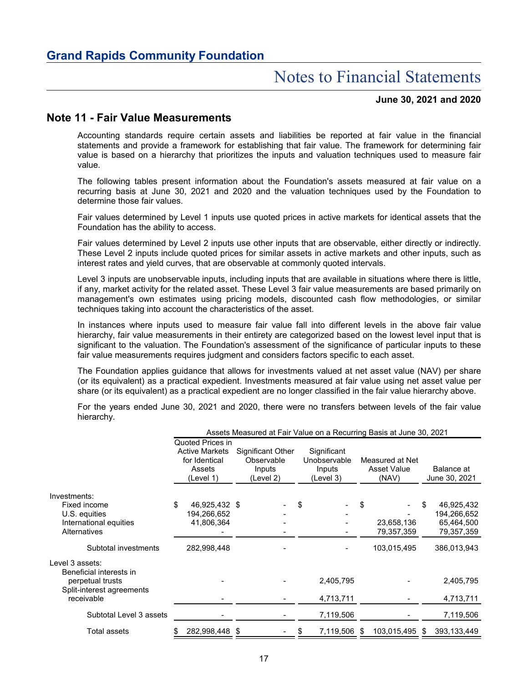#### **June 30, 2021 and 2020**

### **Note 11 - Fair Value Measurements**

Accounting standards require certain assets and liabilities be reported at fair value in the financial statements and provide a framework for establishing that fair value. The framework for determining fair value is based on a hierarchy that prioritizes the inputs and valuation techniques used to measure fair value.

The following tables present information about the Foundation's assets measured at fair value on a recurring basis at June 30, 2021 and 2020 and the valuation techniques used by the Foundation to determine those fair values.

Fair values determined by Level 1 inputs use quoted prices in active markets for identical assets that the Foundation has the ability to access.

Fair values determined by Level 2 inputs use other inputs that are observable, either directly or indirectly. These Level 2 inputs include quoted prices for similar assets in active markets and other inputs, such as interest rates and yield curves, that are observable at commonly quoted intervals.

Level 3 inputs are unobservable inputs, including inputs that are available in situations where there is little, if any, market activity for the related asset. These Level 3 fair value measurements are based primarily on management's own estimates using pricing models, discounted cash flow methodologies, or similar techniques taking into account the characteristics of the asset.

In instances where inputs used to measure fair value fall into different levels in the above fair value hierarchy, fair value measurements in their entirety are categorized based on the lowest level input that is significant to the valuation. The Foundation's assessment of the significance of particular inputs to these fair value measurements requires judgment and considers factors specific to each asset.

The Foundation applies guidance that allows for investments valued at net asset value (NAV) per share (or its equivalent) as a practical expedient. Investments measured at fair value using net asset value per share (or its equivalent) as a practical expedient are no longer classified in the fair value hierarchy above.

For the years ended June 30, 2021 and 2020, there were no transfers between levels of the fair value hierarchy.

|                           | Assets Measured at Fair Value on a Recurring Basis at June 30, 2021 |                                                                                   |  |                                                        |    |                                                    |      |                                         |    |                             |  |
|---------------------------|---------------------------------------------------------------------|-----------------------------------------------------------------------------------|--|--------------------------------------------------------|----|----------------------------------------------------|------|-----------------------------------------|----|-----------------------------|--|
|                           |                                                                     | Quoted Prices in<br><b>Active Markets</b><br>for Identical<br>Assets<br>(Level 1) |  | Significant Other<br>Observable<br>Inputs<br>(Level 2) |    | Significant<br>Unobservable<br>Inputs<br>(Level 3) |      | Measured at Net<br>Asset Value<br>(NAV) |    | Balance at<br>June 30, 2021 |  |
| Investments:              |                                                                     |                                                                                   |  |                                                        |    |                                                    |      |                                         |    |                             |  |
| Fixed income              | \$                                                                  | 46,925,432 \$                                                                     |  |                                                        | \$ |                                                    | \$   |                                         | S  | 46,925,432                  |  |
| U.S. equities             |                                                                     | 194,266,652                                                                       |  |                                                        |    |                                                    |      |                                         |    | 194,266,652                 |  |
| International equities    |                                                                     | 41,806,364                                                                        |  |                                                        |    |                                                    |      | 23,658,136                              |    | 65,464,500                  |  |
| <b>Alternatives</b>       |                                                                     |                                                                                   |  |                                                        |    |                                                    |      | 79,357,359                              |    | 79,357,359                  |  |
| Subtotal investments      |                                                                     | 282,998,448                                                                       |  |                                                        |    |                                                    |      | 103,015,495                             |    | 386,013,943                 |  |
| Level 3 assets:           |                                                                     |                                                                                   |  |                                                        |    |                                                    |      |                                         |    |                             |  |
| Beneficial interests in   |                                                                     |                                                                                   |  |                                                        |    |                                                    |      |                                         |    |                             |  |
| perpetual trusts          |                                                                     |                                                                                   |  |                                                        |    | 2,405,795                                          |      |                                         |    | 2,405,795                   |  |
| Split-interest agreements |                                                                     |                                                                                   |  |                                                        |    |                                                    |      |                                         |    |                             |  |
| receivable                |                                                                     |                                                                                   |  |                                                        |    | 4,713,711                                          |      |                                         |    | 4,713,711                   |  |
| Subtotal Level 3 assets   |                                                                     |                                                                                   |  |                                                        |    | 7,119,506                                          |      |                                         |    | 7,119,506                   |  |
| <b>Total assets</b>       |                                                                     | 282.998.448 \$                                                                    |  |                                                        |    | 7,119,506                                          | - \$ | 103,015,495                             | -S | 393,133,449                 |  |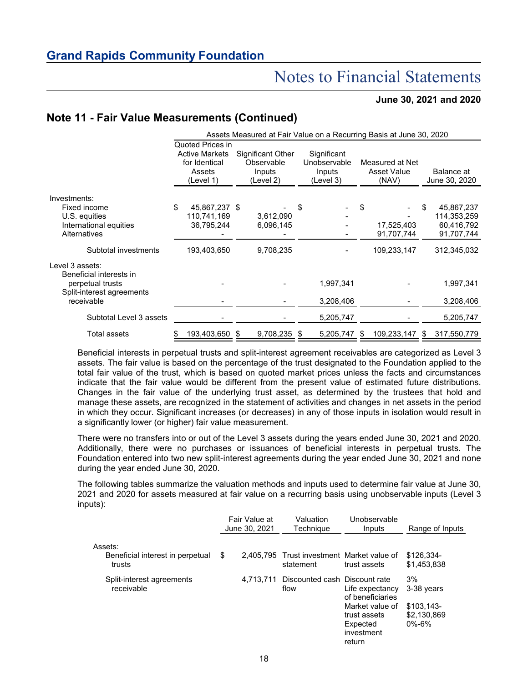#### **June 30, 2021 and 2020**

### **Note 11 - Fair Value Measurements (Continued)**

|                           | Assets Measured at Fair Value on a Recurring Basis at June 30, 2020               |                |  |                                                        |      |                                                    |      |                                                |   |                             |  |
|---------------------------|-----------------------------------------------------------------------------------|----------------|--|--------------------------------------------------------|------|----------------------------------------------------|------|------------------------------------------------|---|-----------------------------|--|
|                           | Quoted Prices in<br><b>Active Markets</b><br>for Identical<br>Assets<br>(Level 1) |                |  | Significant Other<br>Observable<br>Inputs<br>(Level 2) |      | Significant<br>Unobservable<br>Inputs<br>(Level 3) |      | Measured at Net<br><b>Asset Value</b><br>(NAV) |   | Balance at<br>June 30, 2020 |  |
| Investments:              |                                                                                   |                |  |                                                        |      |                                                    |      |                                                |   |                             |  |
| Fixed income              | \$                                                                                | 45,867,237 \$  |  |                                                        | \$   |                                                    | \$   |                                                | S | 45,867,237                  |  |
| U.S. equities             |                                                                                   | 110,741,169    |  | 3,612,090                                              |      |                                                    |      |                                                |   | 114,353,259                 |  |
| International equities    |                                                                                   | 36,795,244     |  | 6,096,145                                              |      |                                                    |      | 17,525,403                                     |   | 60,416,792                  |  |
| Alternatives              |                                                                                   |                |  |                                                        |      |                                                    |      | 91,707,744                                     |   | 91,707,744                  |  |
| Subtotal investments      |                                                                                   | 193,403,650    |  | 9,708,235                                              |      |                                                    |      | 109,233,147                                    |   | 312,345,032                 |  |
| Level 3 assets:           |                                                                                   |                |  |                                                        |      |                                                    |      |                                                |   |                             |  |
| Beneficial interests in   |                                                                                   |                |  |                                                        |      |                                                    |      |                                                |   |                             |  |
| perpetual trusts          |                                                                                   |                |  |                                                        |      | 1,997,341                                          |      |                                                |   | 1,997,341                   |  |
| Split-interest agreements |                                                                                   |                |  |                                                        |      |                                                    |      |                                                |   |                             |  |
| receivable                |                                                                                   |                |  |                                                        |      | 3,208,406                                          |      |                                                |   | 3,208,406                   |  |
| Subtotal Level 3 assets   |                                                                                   |                |  |                                                        |      | 5,205,747                                          |      |                                                |   | 5,205,747                   |  |
| <b>Total assets</b>       |                                                                                   | 193,403,650 \$ |  | 9,708,235                                              | - 55 | 5,205,747                                          | - 56 | 109,233,147                                    | S | 317,550,779                 |  |

Beneficial interests in perpetual trusts and split-interest agreement receivables are categorized as Level 3 assets. The fair value is based on the percentage of the trust designated to the Foundation applied to the total fair value of the trust, which is based on quoted market prices unless the facts and circumstances indicate that the fair value would be different from the present value of estimated future distributions. Changes in the fair value of the underlying trust asset, as determined by the trustees that hold and manage these assets, are recognized in the statement of activities and changes in net assets in the period in which they occur. Significant increases (or decreases) in any of those inputs in isolation would result in a significantly lower (or higher) fair value measurement.

There were no transfers into or out of the Level 3 assets during the years ended June 30, 2021 and 2020. Additionally, there were no purchases or issuances of beneficial interests in perpetual trusts. The Foundation entered into two new split-interest agreements during the year ended June 30, 2021 and none during the year ended June 30, 2020.

The following tables summarize the valuation methods and inputs used to determine fair value at June 30, 2021 and 2020 for assets measured at fair value on a recurring basis using unobservable inputs (Level 3 inputs):

|                                                       | Fair Value at<br>June 30, 2021 | Valuation<br>Technique                                  | Unobservable<br>Inputs                                                                           | Range of Inputs                                               |
|-------------------------------------------------------|--------------------------------|---------------------------------------------------------|--------------------------------------------------------------------------------------------------|---------------------------------------------------------------|
| Assets:<br>Beneficial interest in perpetual<br>trusts | \$                             | 2,405,795 Trust investment Market value of<br>statement | trust assets                                                                                     | \$126,334-<br>\$1,453,838                                     |
| Split-interest agreements<br>receivable               | 4.713.711                      | Discounted cash Discount rate<br>flow                   | Life expectancy<br>of beneficiaries<br>Market value of<br>trust assets<br>Expected<br>investment | 3%<br>3-38 years<br>$$103.143-$<br>\$2,130,869<br>$0\% - 6\%$ |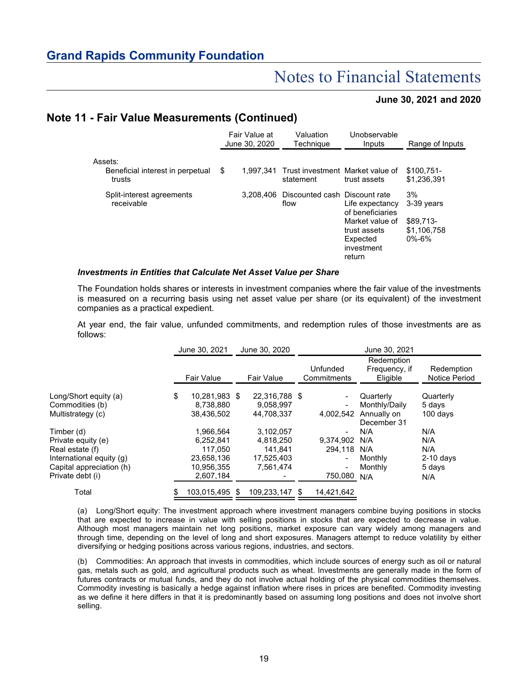#### **June 30, 2021 and 2020**

### **Note 11 - Fair Value Measurements (Continued)**

|                                                       | Fair Value at<br>June 30, 2020 | Valuation<br>Techniaue                          | Unobservable<br>Inputs                                                                                     | Range of Inputs                                             |  |
|-------------------------------------------------------|--------------------------------|-------------------------------------------------|------------------------------------------------------------------------------------------------------------|-------------------------------------------------------------|--|
| Assets:<br>Beneficial interest in perpetual<br>trusts | \$<br>1.997.341                | Trust investment Market value of<br>statement   | trust assets                                                                                               | $$100.751-$<br>\$1.236.391                                  |  |
| Split-interest agreements<br>receivable               |                                | 3.208.406 Discounted cash Discount rate<br>flow | Life expectancy<br>of beneficiaries<br>Market value of<br>trust assets<br>Expected<br>investment<br>return | 3%<br>3-39 years<br>\$89.713-<br>\$1,106,758<br>$0\% - 6\%$ |  |

#### *Investments in Entities that Calculate Net Asset Value per Share*

The Foundation holds shares or interests in investment companies where the fair value of the investments is measured on a recurring basis using net asset value per share (or its equivalent) of the investment companies as a practical expedient.

At year end, the fair value, unfunded commitments, and redemption rules of those investments are as follows:

|                          | June 30, 2021       | June 30, 2020     | June 30, 2021 |                          |                            |               |  |
|--------------------------|---------------------|-------------------|---------------|--------------------------|----------------------------|---------------|--|
|                          |                     |                   |               |                          | Redemption                 |               |  |
|                          |                     |                   |               | Unfunded                 | Frequency, if              | Redemption    |  |
|                          | <b>Fair Value</b>   | <b>Fair Value</b> |               | Commitments              | Eligible                   | Notice Period |  |
| Long/Short equity (a)    | \$<br>10.281.983 \$ | 22.316.788 \$     |               |                          | Quarterly                  | Quarterly     |  |
| Commodities (b)          | 8,738,880           | 9,058,997         |               | $\overline{\phantom{a}}$ | Monthly/Daily              | 5 days        |  |
| Multistrategy (c)        | 38,436,502          | 44,708,337        |               | 4,002,542                | Annually on<br>December 31 | $100$ days    |  |
| Timber (d)               | 1.966.564           | 3.102.057         |               | $\overline{\phantom{a}}$ | N/A                        | N/A           |  |
| Private equity (e)       | 6,252,841           | 4,818,250         |               | 9.374.902                | N/A                        | N/A           |  |
| Real estate (f)          | 117.050             | 141.841           |               | 294,118                  | N/A                        | N/A           |  |
| International equity (g) | 23,658,136          | 17,525,403        |               | $\overline{\phantom{a}}$ | Monthly                    | $2-10$ days   |  |
| Capital appreciation (h) | 10,956,355          | 7,561,474         |               | $\overline{\phantom{a}}$ | Monthly                    | 5 days        |  |
| Private debt (i)         | 2,607,184           |                   |               | 750,080 N/A              |                            | N/A           |  |
| Total                    | 103,015,495 \$      | 109,233,147 \$    |               | 14,421,642               |                            |               |  |

(a) Long/Short equity: The investment approach where investment managers combine buying positions in stocks that are expected to increase in value with selling positions in stocks that are expected to decrease in value. Although most managers maintain net long positions, market exposure can vary widely among managers and through time, depending on the level of long and short exposures. Managers attempt to reduce volatility by either diversifying or hedging positions across various regions, industries, and sectors.

(b) Commodities: An approach that invests in commodities, which include sources of energy such as oil or natural gas, metals such as gold, and agricultural products such as wheat. Investments are generally made in the form of futures contracts or mutual funds, and they do not involve actual holding of the physical commodities themselves. Commodity investing is basically a hedge against inflation where rises in prices are benefited. Commodity investing as we define it here differs in that it is predominantly based on assuming long positions and does not involve short selling.